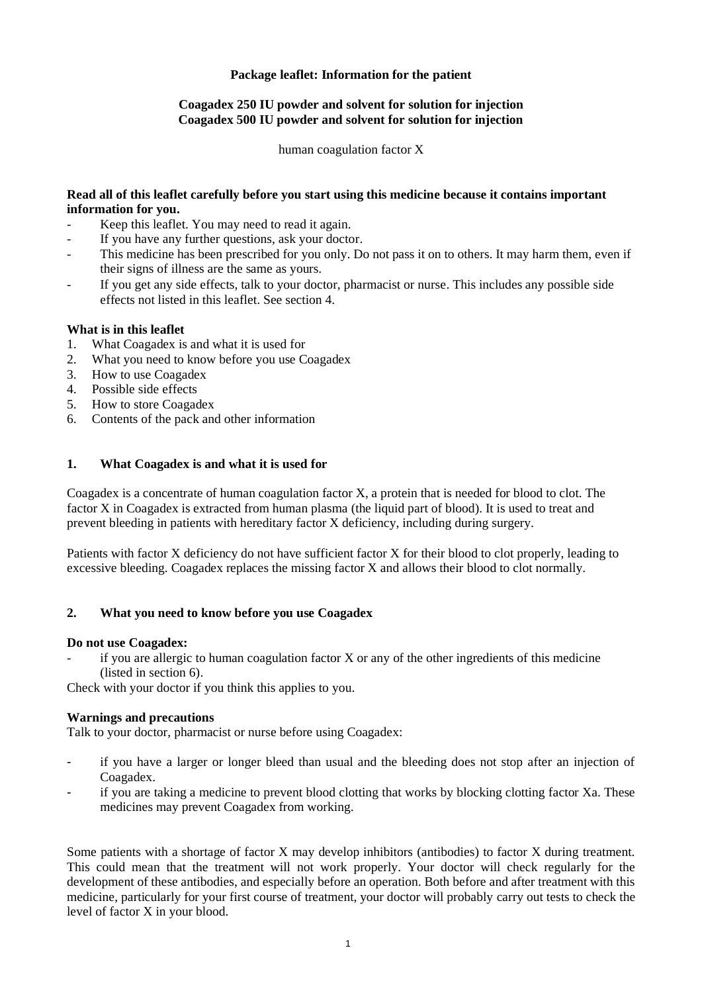# **Package leaflet: Information for the patient**

# **Coagadex 250 IU powder and solvent for solution for injection Coagadex 500 IU powder and solvent for solution for injection**

human coagulation factor X

#### **Read all of this leaflet carefully before you start using this medicine because it contains important information for you.**

- Keep this leaflet. You may need to read it again.
- If you have any further questions, ask your doctor.
- This medicine has been prescribed for you only. Do not pass it on to others. It may harm them, even if their signs of illness are the same as yours.
- If you get any side effects, talk to your doctor, pharmacist or nurse. This includes any possible side effects not listed in this leaflet. See section 4.

# **What is in this leaflet**

- 1. What Coagadex is and what it is used for
- 2. What you need to know before you use Coagadex
- 3. How to use Coagadex
- 4. Possible side effects
- 5. How to store Coagadex
- 6. Contents of the pack and other information

# **1. What Coagadex is and what it is used for**

Coagadex is a concentrate of human coagulation factor X, a protein that is needed for blood to clot. The factor X in Coagadex is extracted from human plasma (the liquid part of blood). It is used to treat and prevent bleeding in patients with hereditary factor X deficiency, including during surgery.

Patients with factor X deficiency do not have sufficient factor X for their blood to clot properly, leading to excessive bleeding. Coagadex replaces the missing factor X and allows their blood to clot normally.

#### **2. What you need to know before you use Coagadex**

#### **Do not use Coagadex:**

if you are allergic to human coagulation factor  $X$  or any of the other ingredients of this medicine (listed in section 6).

Check with your doctor if you think this applies to you.

#### **Warnings and precautions**

Talk to your doctor, pharmacist or nurse before using Coagadex:

- if you have a larger or longer bleed than usual and the bleeding does not stop after an injection of Coagadex.
- if you are taking a medicine to prevent blood clotting that works by blocking clotting factor Xa. These medicines may prevent Coagadex from working.

Some patients with a shortage of factor X may develop inhibitors (antibodies) to factor X during treatment. This could mean that the treatment will not work properly. Your doctor will check regularly for the development of these antibodies, and especially before an operation. Both before and after treatment with this medicine, particularly for your first course of treatment, your doctor will probably carry out tests to check the level of factor X in your blood.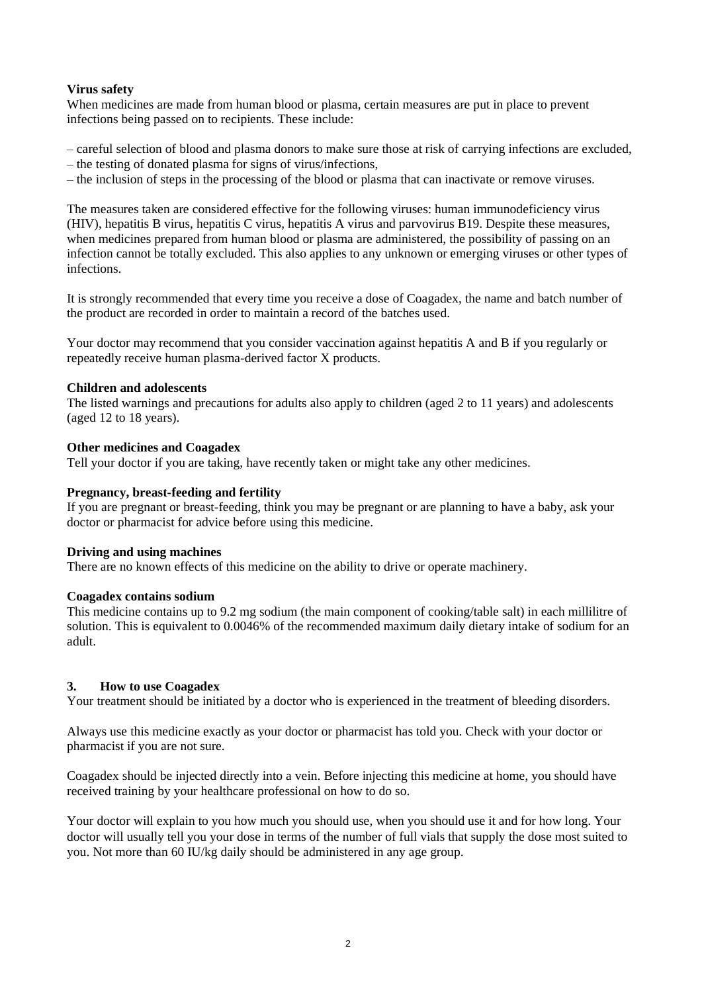# **Virus safety**

When medicines are made from human blood or plasma, certain measures are put in place to prevent infections being passed on to recipients. These include:

- careful selection of blood and plasma donors to make sure those at risk of carrying infections are excluded,
- the testing of donated plasma for signs of virus/infections,
- the inclusion of steps in the processing of the blood or plasma that can inactivate or remove viruses.

The measures taken are considered effective for the following viruses: human immunodeficiency virus (HIV), hepatitis B virus, hepatitis C virus, hepatitis A virus and parvovirus B19. Despite these measures, when medicines prepared from human blood or plasma are administered, the possibility of passing on an infection cannot be totally excluded. This also applies to any unknown or emerging viruses or other types of infections.

It is strongly recommended that every time you receive a dose of Coagadex, the name and batch number of the product are recorded in order to maintain a record of the batches used.

Your doctor may recommend that you consider vaccination against hepatitis A and B if you regularly or repeatedly receive human plasma-derived factor X products.

# **Children and adolescents**

The listed warnings and precautions for adults also apply to children (aged 2 to 11 years) and adolescents (aged 12 to 18 years).

# **Other medicines and Coagadex**

Tell your doctor if you are taking, have recently taken or might take any other medicines.

### **Pregnancy, breast-feeding and fertility**

If you are pregnant or breast-feeding, think you may be pregnant or are planning to have a baby, ask your doctor or pharmacist for advice before using this medicine.

#### **Driving and using machines**

There are no known effects of this medicine on the ability to drive or operate machinery.

#### **Coagadex contains sodium**

This medicine contains up to 9.2 mg sodium (the main component of cooking/table salt) in each millilitre of solution. This is equivalent to 0.0046% of the recommended maximum daily dietary intake of sodium for an adult.

# **3. How to use Coagadex**

Your treatment should be initiated by a doctor who is experienced in the treatment of bleeding disorders.

Always use this medicine exactly as your doctor or pharmacist has told you. Check with your doctor or pharmacist if you are not sure.

Coagadex should be injected directly into a vein. Before injecting this medicine at home, you should have received training by your healthcare professional on how to do so.

Your doctor will explain to you how much you should use, when you should use it and for how long. Your doctor will usually tell you your dose in terms of the number of full vials that supply the dose most suited to you. Not more than 60 IU/kg daily should be administered in any age group.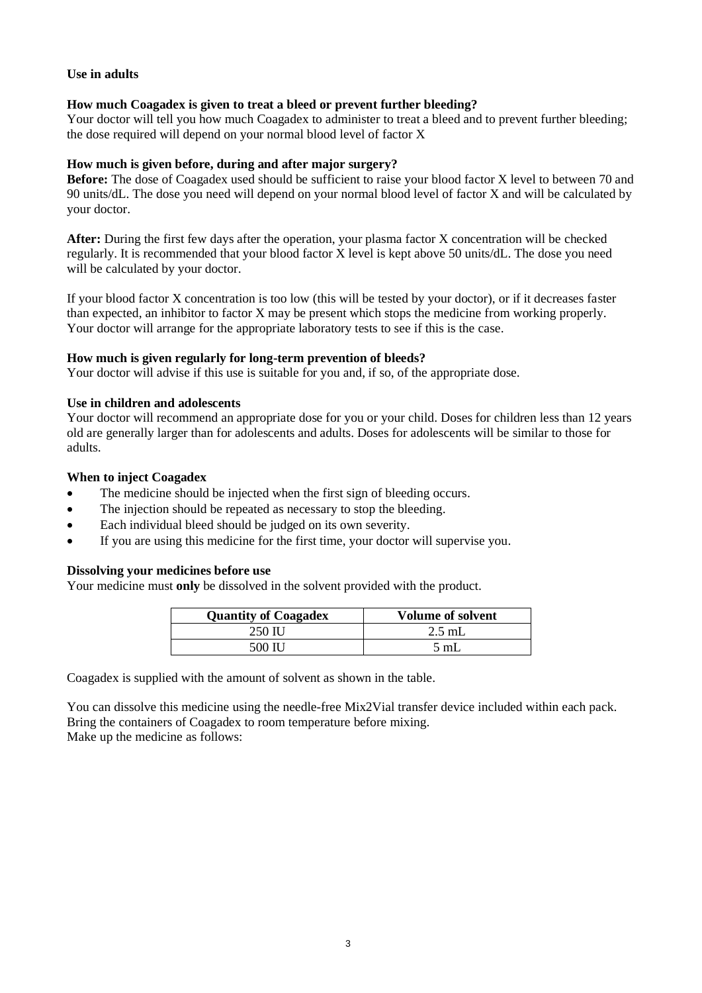# **Use in adults**

### **How much Coagadex is given to treat a bleed or prevent further bleeding?**

Your doctor will tell you how much Coagadex to administer to treat a bleed and to prevent further bleeding; the dose required will depend on your normal blood level of factor X

### **How much is given before, during and after major surgery?**

**Before:** The dose of Coagadex used should be sufficient to raise your blood factor X level to between 70 and 90 units/dL. The dose you need will depend on your normal blood level of factor X and will be calculated by your doctor.

**After:** During the first few days after the operation, your plasma factor X concentration will be checked regularly. It is recommended that your blood factor X level is kept above 50 units/dL. The dose you need will be calculated by your doctor.

If your blood factor X concentration is too low (this will be tested by your doctor), or if it decreases faster than expected, an inhibitor to factor X may be present which stops the medicine from working properly. Your doctor will arrange for the appropriate laboratory tests to see if this is the case.

# **How much is given regularly for long-term prevention of bleeds?**

Your doctor will advise if this use is suitable for you and, if so, of the appropriate dose.

#### **Use in children and adolescents**

Your doctor will recommend an appropriate dose for you or your child. Doses for children less than 12 years old are generally larger than for adolescents and adults. Doses for adolescents will be similar to those for adults.

### **When to inject Coagadex**

- The medicine should be injected when the first sign of bleeding occurs.
- The injection should be repeated as necessary to stop the bleeding.
- Each individual bleed should be judged on its own severity.
- If you are using this medicine for the first time, your doctor will supervise you.

#### **Dissolving your medicines before use**

Your medicine must **only** be dissolved in the solvent provided with the product.

| <b>Quantity of Coagadex</b> | <b>Volume of solvent</b> |
|-----------------------------|--------------------------|
| 250 IU                      | $2.5$ mL                 |
| 500 H I                     | 5 mL                     |

Coagadex is supplied with the amount of solvent as shown in the table.

You can dissolve this medicine using the needle-free Mix2Vial transfer device included within each pack. Bring the containers of Coagadex to room temperature before mixing. Make up the medicine as follows: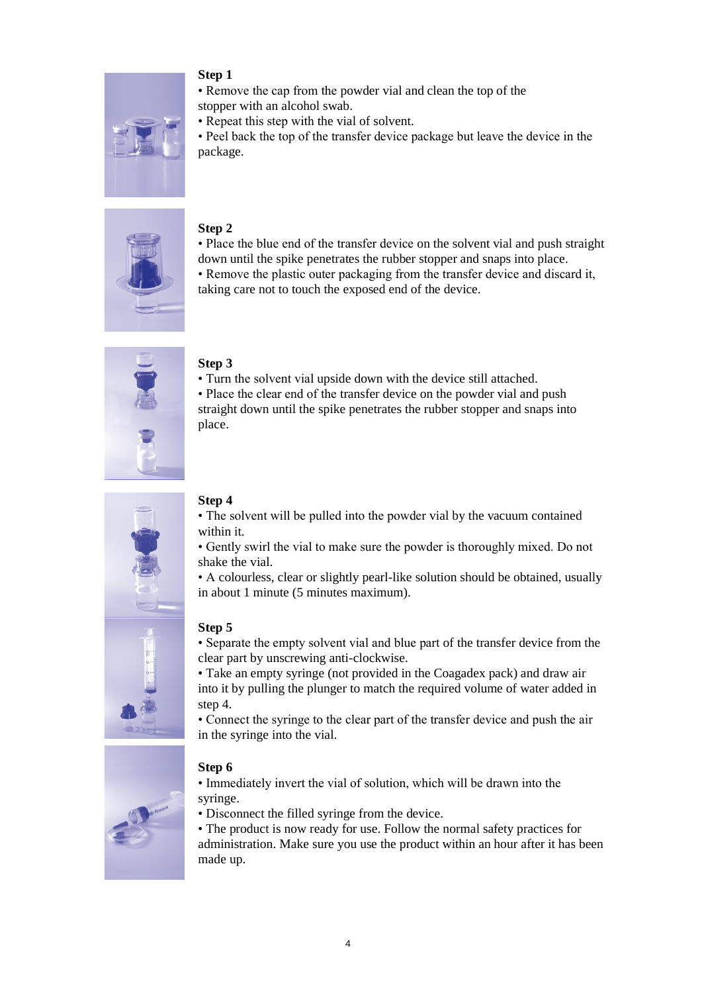

# **Step 1**

• Remove the cap from the powder vial and clean the top of the

stopper with an alcohol swab.

• Repeat this step with the vial of solvent.

• Peel back the top of the transfer device package but leave the device in the package.



# **Step 2**

• Place the blue end of the transfer device on the solvent vial and push straight down until the spike penetrates the rubber stopper and snaps into place.

• Remove the plastic outer packaging from the transfer device and discard it, taking care not to touch the exposed end of the device.



# **Step 3**

• Turn the solvent vial upside down with the device still attached.

• Place the clear end of the transfer device on the powder vial and push straight down until the spike penetrates the rubber stopper and snaps into place.



# **Step 4**

• The solvent will be pulled into the powder vial by the vacuum contained within it.

• Gently swirl the vial to make sure the powder is thoroughly mixed. Do not shake the vial.

• A colourless, clear or slightly pearl-like solution should be obtained, usually in about 1 minute (5 minutes maximum).

# **Step 5**

• Separate the empty solvent vial and blue part of the transfer device from the clear part by unscrewing anti-clockwise.

• Take an empty syringe (not provided in the Coagadex pack) and draw air into it by pulling the plunger to match the required volume of water added in step 4.

• Connect the syringe to the clear part of the transfer device and push the air in the syringe into the vial.

# **Step 6**

• Immediately invert the vial of solution, which will be drawn into the syringe.

• Disconnect the filled syringe from the device.

• The product is now ready for use. Follow the normal safety practices for administration. Make sure you use the product within an hour after it has been made up.

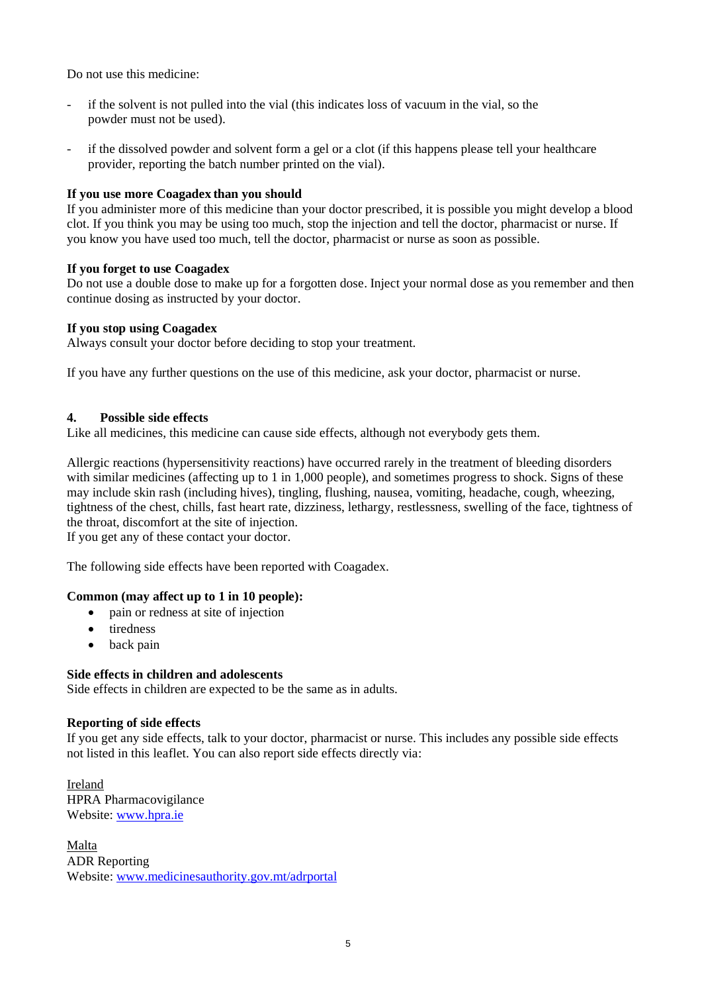Do not use this medicine:

- if the solvent is not pulled into the vial (this indicates loss of vacuum in the vial, so the powder must not be used).
- if the dissolved powder and solvent form a gel or a clot (if this happens please tell your healthcare provider, reporting the batch number printed on the vial).

# **If you use more Coagadex than you should**

If you administer more of this medicine than your doctor prescribed, it is possible you might develop a blood clot. If you think you may be using too much, stop the injection and tell the doctor, pharmacist or nurse. If you know you have used too much, tell the doctor, pharmacist or nurse as soon as possible.

#### **If you forget to use Coagadex**

Do not use a double dose to make up for a forgotten dose. Inject your normal dose as you remember and then continue dosing as instructed by your doctor.

# **If you stop using Coagadex**

Always consult your doctor before deciding to stop your treatment.

If you have any further questions on the use of this medicine, ask your doctor, pharmacist or nurse.

# **4. Possible side effects**

Like all medicines, this medicine can cause side effects, although not everybody gets them.

Allergic reactions (hypersensitivity reactions) have occurred rarely in the treatment of bleeding disorders with similar medicines (affecting up to 1 in 1,000 people), and sometimes progress to shock. Signs of these may include skin rash (including hives), tingling, flushing, nausea, vomiting, headache, cough, wheezing, tightness of the chest, chills, fast heart rate, dizziness, lethargy, restlessness, swelling of the face, tightness of the throat, discomfort at the site of injection.

If you get any of these contact your doctor.

The following side effects have been reported with Coagadex.

#### **Common (may affect up to 1 in 10 people):**

- pain or redness at site of injection
- tiredness
- back pain

#### **Side effects in children and adolescents**

Side effects in children are expected to be the same as in adults.

#### **Reporting of side effects**

If you get any side effects, talk to your doctor, pharmacist or nurse. This includes any possible side effects not listed in this leaflet. You can also report side effects directly via:

Ireland HPRA Pharmacovigilance Website[: www.hpra.ie](http://www.hpra.ie/)

Malta ADR Reporting Website[: www.medicinesauthority.gov.mt/adrportal](http://www.medicinesauthority.gov.mt/adrportal)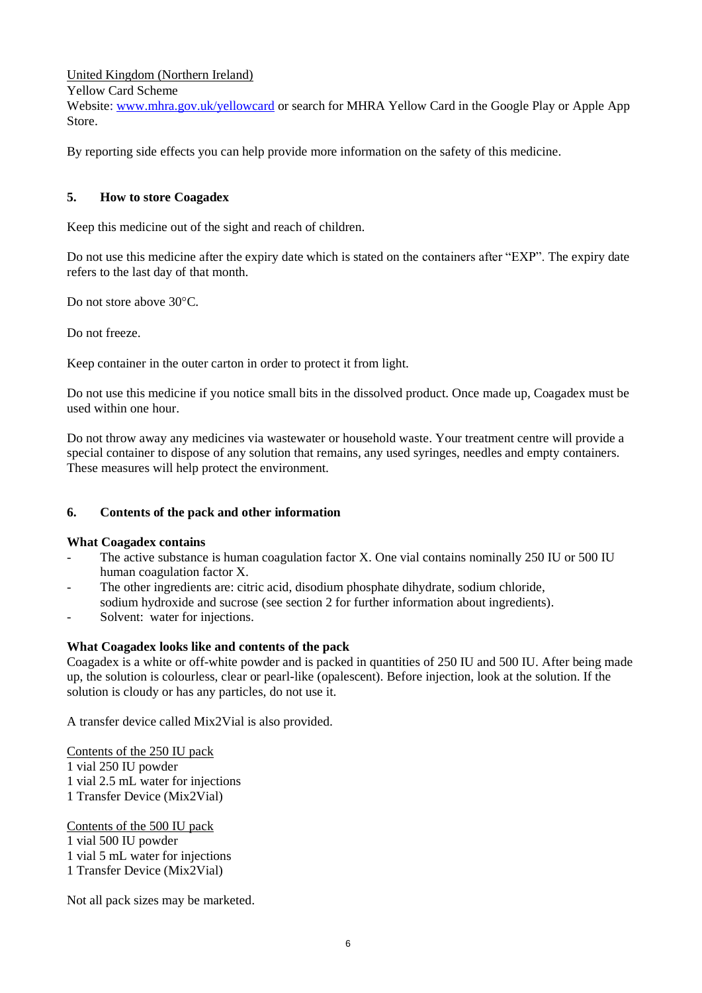United Kingdom (Northern Ireland)

Yellow Card Scheme

Website[: www.mhra.gov.uk/yellowcard](http://www.mhra.gov.uk/yellowcard) or search for MHRA Yellow Card in the Google Play or Apple App Store.

By reporting side effects you can help provide more information on the safety of this medicine.

# **5. How to store Coagadex**

Keep this medicine out of the sight and reach of children.

Do not use this medicine after the expiry date which is stated on the containers after "EXP". The expiry date refers to the last day of that month.

Do not store above 30°C.

Do not freeze.

Keep container in the outer carton in order to protect it from light.

Do not use this medicine if you notice small bits in the dissolved product. Once made up, Coagadex must be used within one hour.

Do not throw away any medicines via wastewater or household waste. Your treatment centre will provide a special container to dispose of any solution that remains, any used syringes, needles and empty containers. These measures will help protect the environment.

# **6. Contents of the pack and other information**

#### **What Coagadex contains**

- The active substance is human coagulation factor X. One vial contains nominally 250 IU or 500 IU human coagulation factor X.
- The other ingredients are: citric acid, disodium phosphate dihydrate, sodium chloride, sodium hydroxide and sucrose (see section 2 for further information about ingredients).
- Solvent: water for injections.

#### **What Coagadex looks like and contents of the pack**

Coagadex is a white or off-white powder and is packed in quantities of 250 IU and 500 IU. After being made up, the solution is colourless, clear or pearl-like (opalescent). Before injection, look at the solution. If the solution is cloudy or has any particles, do not use it.

A transfer device called Mix2Vial is also provided.

Contents of the 250 IU pack 1 vial 250 IU powder 1 vial 2.5 mL water for injections 1 Transfer Device (Mix2Vial)

Contents of the 500 IU pack 1 vial 500 IU powder 1 vial 5 mL water for injections 1 Transfer Device (Mix2Vial)

Not all pack sizes may be marketed.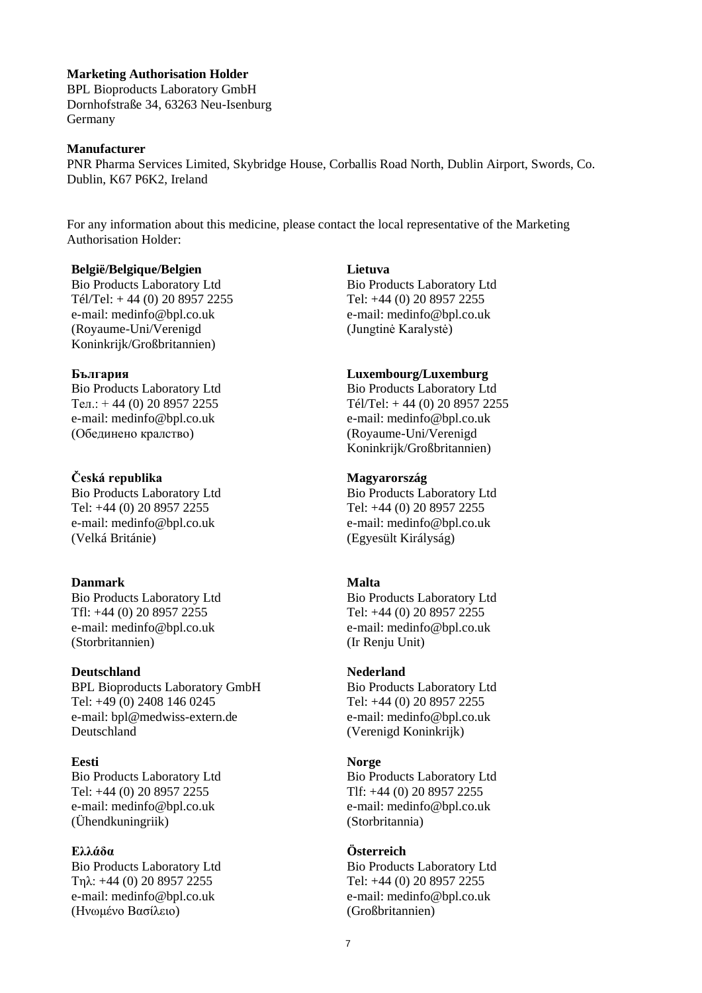#### **Marketing Authorisation Holder**

BPL Bioproducts Laboratory GmbH Dornhofstraße 34, 63263 Neu-Isenburg Germany

#### **Manufacturer**

PNR Pharma Services Limited, Skybridge House, Corballis Road North, Dublin Airport, Swords, Co. Dublin, K67 P6K2, Ireland

For any information about this medicine, please contact the local representative of the Marketing Authorisation Holder:

#### **België/Belgique/Belgien**

Bio Products Laboratory Ltd Tél/Tel: + 44 (0) 20 8957 2255 e-mail: medinfo@bpl.co.uk (Royaume-Uni/Verenigd Koninkrijk/Großbritannien)

#### **България**

Bio Products Laboratory Ltd Ten.:  $+44(0)$  20 8957 2255 e-mail: medinfo@bpl.co.uk (Обединено кралство)

#### **Česká republika**

Bio Products Laboratory Ltd Tel: +44 (0) 20 8957 2255 e-mail: medinfo@bpl.co.uk (Velká Británie)

#### **Danmark**

Bio Products Laboratory Ltd Tfl: +44 (0) 20 8957 2255 e-mail: medinfo@bpl.co.uk (Storbritannien)

#### **Deutschland**

BPL Bioproducts Laboratory GmbH Tel: +49 (0) 2408 146 0245 e-mail: bpl@medwiss-extern.de Deutschland

#### **Eesti**

Bio Products Laboratory Ltd Tel: +44 (0) 20 8957 2255 e-mail: medinfo@bpl.co.uk (Ühendkuningriik)

#### **Ελλάδα**

Bio Products Laboratory Ltd Τηλ: +44 (0) 20 8957 2255 e-mail: medinfo@bpl.co.uk (Ηνωμένο Βασίλειο)

#### **Lietuva**

Bio Products Laboratory Ltd Tel: +44 (0) 20 8957 2255 e-mail: medinfo@bpl.co.uk (Jungtinė Karalystė)

# **Luxembourg/Luxemburg**

Bio Products Laboratory Ltd Tél/Tel: + 44 (0) 20 8957 2255 e-mail: medinfo@bpl.co.uk (Royaume-Uni/Verenigd Koninkrijk/Großbritannien)

#### **Magyarország**

Bio Products Laboratory Ltd Tel: +44 (0) 20 8957 2255 e-mail: medinfo@bpl.co.uk (Egyesült Királyság)

#### **Malta**

Bio Products Laboratory Ltd Tel: +44 (0) 20 8957 2255 e-mail: medinfo@bpl.co.uk (Ir Renju Unit)

#### **Nederland**

Bio Products Laboratory Ltd Tel: +44 (0) 20 8957 2255 e-mail: medinfo@bpl.co.uk (Verenigd Koninkrijk)

#### **Norge**

Bio Products Laboratory Ltd Tlf: +44 (0) 20 8957 2255 e-mail: medinfo@bpl.co.uk (Storbritannia)

### **Österreich**

Bio Products Laboratory Ltd Tel: +44 (0) 20 8957 2255 e-mail: medinfo@bpl.co.uk (Großbritannien)